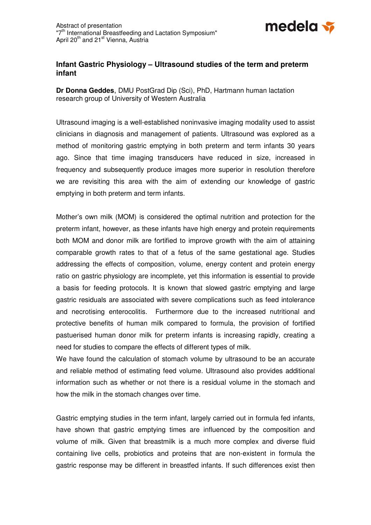

## **Infant Gastric Physiology – Ultrasound studies of the term and preterm infant**

**Dr Donna Geddes**, DMU PostGrad Dip (Sci), PhD, Hartmann human lactation research group of University of Western Australia

Ultrasound imaging is a well-established noninvasive imaging modality used to assist clinicians in diagnosis and management of patients. Ultrasound was explored as a method of monitoring gastric emptying in both preterm and term infants 30 years ago. Since that time imaging transducers have reduced in size, increased in frequency and subsequently produce images more superior in resolution therefore we are revisiting this area with the aim of extending our knowledge of gastric emptying in both preterm and term infants.

Mother's own milk (MOM) is considered the optimal nutrition and protection for the preterm infant, however, as these infants have high energy and protein requirements both MOM and donor milk are fortified to improve growth with the aim of attaining comparable growth rates to that of a fetus of the same gestational age. Studies addressing the effects of composition, volume, energy content and protein energy ratio on gastric physiology are incomplete, yet this information is essential to provide a basis for feeding protocols. It is known that slowed gastric emptying and large gastric residuals are associated with severe complications such as feed intolerance and necrotising enterocolitis. Furthermore due to the increased nutritional and protective benefits of human milk compared to formula, the provision of fortified pastuerised human donor milk for preterm infants is increasing rapidly, creating a need for studies to compare the effects of different types of milk.

We have found the calculation of stomach volume by ultrasound to be an accurate and reliable method of estimating feed volume. Ultrasound also provides additional information such as whether or not there is a residual volume in the stomach and how the milk in the stomach changes over time.

Gastric emptying studies in the term infant, largely carried out in formula fed infants, have shown that gastric emptying times are influenced by the composition and volume of milk. Given that breastmilk is a much more complex and diverse fluid containing live cells, probiotics and proteins that are non-existent in formula the gastric response may be different in breastfed infants. If such differences exist then